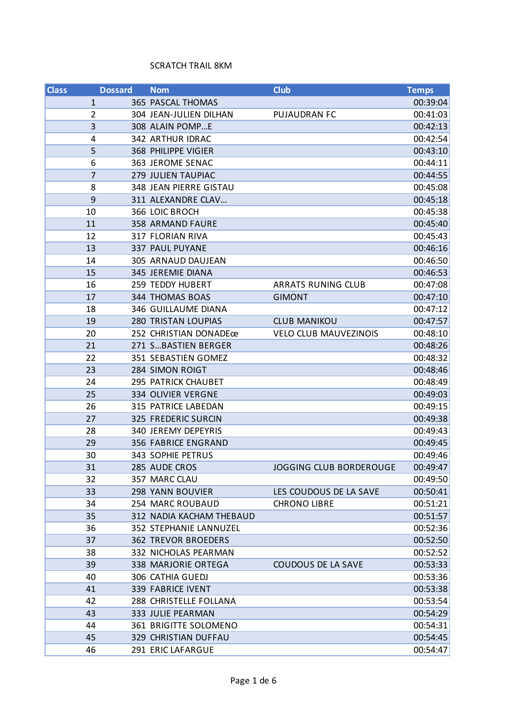#### SCRATCH TRAIL 8KM

| <b>Class</b><br><b>Club</b><br><b>Dossard</b><br><b>Nom</b>     | <b>Temps</b>         |
|-----------------------------------------------------------------|----------------------|
| $\mathbf{1}$<br>365 PASCAL THOMAS                               | 00:39:04             |
| $\overline{2}$<br>304 JEAN-JULIEN DILHAN<br><b>PUJAUDRAN FC</b> | 00:41:03             |
| 3<br>308 ALAIN POMPE                                            | 00:42:13             |
| 4<br><b>342 ARTHUR IDRAC</b>                                    | 00:42:54             |
| 5<br>368 PHILIPPE VIGIER                                        | 00:43:10             |
| 6<br>363 JEROME SENAC                                           | 00:44:11             |
| $\overline{7}$<br>279 JULIEN TAUPIAC                            | 00:44:55             |
| 8<br>348 JEAN PIERRE GISTAU                                     | 00:45:08             |
| 9<br>311 ALEXANDRE CLAV                                         | 00:45:18             |
| 10<br>366 LOIC BROCH                                            | 00:45:38             |
| 11<br>358 ARMAND FAURE                                          | 00:45:40             |
| 12<br>317 FLORIAN RIVA                                          | 00:45:43             |
| 13<br>337 PAUL PUYANE                                           | 00:46:16             |
| 14<br>305 ARNAUD DAUJEAN                                        | 00:46:50             |
| 345 JEREMIE DIANA<br>15                                         | 00:46:53             |
| <b>259 TEDDY HUBERT</b><br>16<br><b>ARRATS RUNING CLUB</b>      | 00:47:08             |
| 17<br><b>344 THOMAS BOAS</b><br><b>GIMONT</b>                   | 00:47:10             |
| 346 GUILLAUME DIANA<br>18                                       | 00:47:12             |
| 19<br>280 TRISTAN LOUPIAS<br><b>CLUB MANIKOU</b>                | 00:47:57             |
| 20<br>252 CHRISTIAN DONADEœ<br><b>VELO CLUB MAUVEZINOIS</b>     | 00:48:10             |
| 21<br>271 SBASTIEN BERGER                                       | 00:48:26             |
| 22<br>351 SEBASTIEN GOMEZ                                       | 00:48:32             |
| 23<br>284 SIMON ROIGT                                           | 00:48:46             |
| 24<br>295 PATRICK CHAUBET                                       | 00:48:49             |
| 25<br>334 OLIVIER VERGNE                                        | 00:49:03             |
| 26<br>315 PATRICE LABEDAN                                       | 00:49:15             |
| 27<br>325 FREDERIC SURCIN                                       | 00:49:38             |
| 28<br>340 JEREMY DEPEYRIS                                       | 00:49:43             |
| 29<br><b>356 FABRICE ENGRAND</b>                                | 00:49:45             |
| 30<br><b>343 SOPHIE PETRUS</b>                                  | 00:49:46             |
| 285 AUDE CROS<br>31<br>JOGGING CLUB BORDEROUGE                  | 00:49:47             |
| 32<br>357 MARC CLAU                                             | 00:49:50             |
| 33<br><b>298 YANN BOUVIER</b><br>LES COUDOUS DE LA SAVE         | 00:50:41             |
| 34<br>254 MARC ROUBAUD<br><b>CHRONO LIBRE</b>                   | 00:51:21<br>00:51:57 |
| 35<br>312 NADIA KACHAM THEBAUD<br>352 STEPHANIE LANNUZEL<br>36  | 00:52:36             |
| <b>362 TREVOR BROEDERS</b><br>37                                | 00:52:50             |
| 38<br>332 NICHOLAS PEARMAN                                      | 00:52:52             |
| 39<br>338 MARJORIE ORTEGA<br><b>COUDOUS DE LA SAVE</b>          | 00:53:33             |
| 40<br>306 CATHIA GUEDJ                                          | 00:53:36             |
| 41<br>339 FABRICE IVENT                                         | 00:53:38             |
| 42<br>288 CHRISTELLE FOLLANA                                    | 00:53:54             |
| 43<br>333 JULIE PEARMAN                                         | 00:54:29             |
| 361 BRIGITTE SOLOMENO<br>44                                     | 00:54:31             |
| 45<br>329 CHRISTIAN DUFFAU                                      | 00:54:45             |
| 46<br>291 ERIC LAFARGUE                                         | 00:54:47             |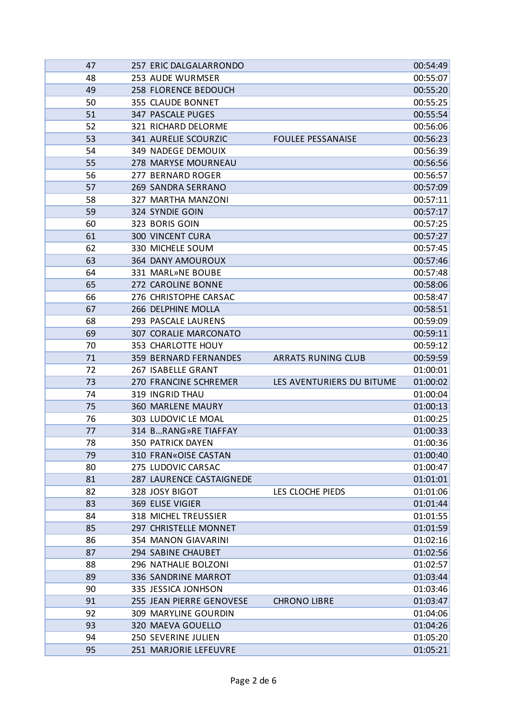| 47       | 257 ERIC DALGALARRONDO                       |                           | 00:54:49             |
|----------|----------------------------------------------|---------------------------|----------------------|
| 48       | 253 AUDE WURMSER                             |                           | 00:55:07             |
| 49       | 258 FLORENCE BEDOUCH                         |                           | 00:55:20             |
| 50       | 355 CLAUDE BONNET                            |                           | 00:55:25             |
| 51       | <b>347 PASCALE PUGES</b>                     |                           | 00:55:54             |
| 52       | 321 RICHARD DELORME                          |                           | 00:56:06             |
| 53       | <b>341 AURELIE SCOURZIC</b>                  | <b>FOULEE PESSANAISE</b>  | 00:56:23             |
| 54       | 349 NADEGE DEMOUIX                           |                           | 00:56:39             |
| 55       | 278 MARYSE MOURNEAU                          |                           | 00:56:56             |
| 56       | 277 BERNARD ROGER                            |                           | 00:56:57             |
| 57       | <b>269 SANDRA SERRANO</b>                    |                           | 00:57:09             |
| 58       | 327 MARTHA MANZONI                           |                           | 00:57:11             |
| 59       | 324 SYNDIE GOIN                              |                           | 00:57:17             |
| 60       | 323 BORIS GOIN                               |                           | 00:57:25             |
| 61       | <b>300 VINCENT CURA</b>                      |                           | 00:57:27             |
| 62       | 330 MICHELE SOUM                             |                           | 00:57:45             |
| 63       | <b>364 DANY AMOUROUX</b>                     |                           | 00:57:46             |
| 64       | 331 MARL»NE BOUBE                            |                           | 00:57:48             |
| 65       | 272 CAROLINE BONNE                           |                           | 00:58:06             |
| 66       | 276 CHRISTOPHE CARSAC                        |                           | 00:58:47             |
| 67       | 266 DELPHINE MOLLA                           |                           | 00:58:51             |
| 68       | 293 PASCALE LAURENS                          |                           | 00:59:09             |
| 69       | <b>307 CORALIE MARCONATO</b>                 |                           | 00:59:11             |
| 70       | 353 CHARLOTTE HOUY                           |                           | 00:59:12             |
| 71       | <b>359 BERNARD FERNANDES</b>                 | <b>ARRATS RUNING CLUB</b> | 00:59:59             |
| 72       | 267 ISABELLE GRANT                           |                           | 01:00:01             |
| 73       | 270 FRANCINE SCHREMER                        | LES AVENTURIERS DU BITUME | 01:00:02             |
| 74       | <b>319 INGRID THAU</b>                       |                           | 01:00:04             |
| 75       | <b>360 MARLENE MAURY</b>                     |                           | 01:00:13             |
| 76       | 303 LUDOVIC LE MOAL                          |                           | 01:00:25             |
| 77       | 314 BRANG»RE TIAFFAY                         |                           | 01:00:33             |
| 78       | <b>350 PATRICK DAYEN</b>                     |                           | 01:00:36             |
| 79       | 310 FRAN«OISE CASTAN                         |                           | 01:00:40             |
| 80       | 275 LUDOVIC CARSAC                           |                           | 01:00:47             |
| 81       | 287 LAURENCE CASTAIGNEDE                     |                           | 01:01:01             |
| 82       | 328 JOSY BIGOT                               | LES CLOCHE PIEDS          | 01:01:06             |
| 83       | 369 ELISE VIGIER                             |                           | 01:01:44             |
| 84       | <b>318 MICHEL TREUSSIER</b>                  |                           | 01:01:55             |
| 85<br>86 | 297 CHRISTELLE MONNET<br>354 MANON GIAVARINI |                           | 01:01:59             |
| 87       | <b>294 SABINE CHAUBET</b>                    |                           | 01:02:16<br>01:02:56 |
| 88       | 296 NATHALIE BOLZONI                         |                           | 01:02:57             |
| 89       | 336 SANDRINE MARROT                          |                           | 01:03:44             |
| 90       | 335 JESSICA JONHSON                          |                           | 01:03:46             |
| 91       | 255 JEAN PIERRE GENOVESE                     | <b>CHRONO LIBRE</b>       | 01:03:47             |
| 92       | <b>309 MARYLINE GOURDIN</b>                  |                           | 01:04:06             |
| 93       | 320 MAEVA GOUELLO                            |                           | 01:04:26             |
| 94       | 250 SEVERINE JULIEN                          |                           | 01:05:20             |
| 95       | 251 MARJORIE LEFEUVRE                        |                           | 01:05:21             |
|          |                                              |                           |                      |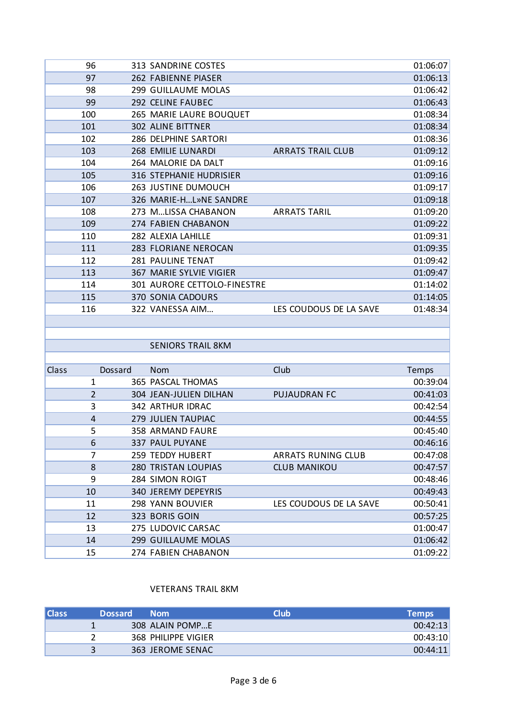| 96  | <b>313 SANDRINE COSTES</b>     |                          | 01:06:07 |
|-----|--------------------------------|--------------------------|----------|
| 97  | 262 FABIENNE PIASER            |                          | 01:06:13 |
| 98  | 299 GUILLAUME MOLAS            |                          | 01:06:42 |
| 99  | 292 CELINE FAUBEC              |                          | 01:06:43 |
| 100 | 265 MARIE LAURE BOUQUET        |                          | 01:08:34 |
| 101 | <b>302 ALINE BITTNER</b>       |                          | 01:08:34 |
| 102 | 286 DELPHINE SARTORI           |                          | 01:08:36 |
| 103 | 268 EMILIE LUNARDI             | <b>ARRATS TRAIL CLUB</b> | 01:09:12 |
| 104 | 264 MALORIE DA DALT            |                          | 01:09:16 |
| 105 | <b>316 STEPHANIE HUDRISIER</b> |                          | 01:09:16 |
| 106 | 263 JUSTINE DUMOUCH            |                          | 01:09:17 |
| 107 | 326 MARIE-HL»NE SANDRE         |                          | 01:09:18 |
| 108 | 273 MLISSA CHABANON            | <b>ARRATS TARIL</b>      | 01:09:20 |
| 109 | 274 FABIEN CHABANON            |                          | 01:09:22 |
| 110 | 282 ALEXIA LAHILLE             |                          | 01:09:31 |
| 111 | 283 FLORIANE NEROCAN           |                          | 01:09:35 |
| 112 | 281 PAULINE TENAT              |                          | 01:09:42 |
| 113 | 367 MARIE SYLVIE VIGIER        |                          | 01:09:47 |
| 114 | 301 AURORE CETTOLO-FINESTRE    |                          | 01:14:02 |
| 115 | <b>370 SONIA CADOURS</b>       |                          | 01:14:05 |
| 116 | 322 VANESSA AIM                | LES COUDOUS DE LA SAVE   | 01:48:34 |
|     |                                |                          |          |

# SENIORS TRAIL 8KM

| Dossard | <b>Nom</b>                                                                                            | Club                                                                                                                                                                                                                                                                                                                                                           | Temps    |
|---------|-------------------------------------------------------------------------------------------------------|----------------------------------------------------------------------------------------------------------------------------------------------------------------------------------------------------------------------------------------------------------------------------------------------------------------------------------------------------------------|----------|
|         |                                                                                                       |                                                                                                                                                                                                                                                                                                                                                                | 00:39:04 |
|         |                                                                                                       | <b>PUJAUDRAN FC</b>                                                                                                                                                                                                                                                                                                                                            | 00:41:03 |
|         |                                                                                                       |                                                                                                                                                                                                                                                                                                                                                                | 00:42:54 |
|         |                                                                                                       |                                                                                                                                                                                                                                                                                                                                                                | 00:44:55 |
|         |                                                                                                       |                                                                                                                                                                                                                                                                                                                                                                | 00:45:40 |
|         |                                                                                                       |                                                                                                                                                                                                                                                                                                                                                                | 00:46:16 |
|         |                                                                                                       | <b>ARRATS RUNING CLUB</b>                                                                                                                                                                                                                                                                                                                                      | 00:47:08 |
|         |                                                                                                       | <b>CLUB MANIKOU</b>                                                                                                                                                                                                                                                                                                                                            | 00:47:57 |
|         |                                                                                                       |                                                                                                                                                                                                                                                                                                                                                                | 00:48:46 |
|         |                                                                                                       |                                                                                                                                                                                                                                                                                                                                                                | 00:49:43 |
|         |                                                                                                       | LES COUDOUS DE LA SAVE                                                                                                                                                                                                                                                                                                                                         | 00:50:41 |
|         |                                                                                                       |                                                                                                                                                                                                                                                                                                                                                                | 00:57:25 |
|         |                                                                                                       |                                                                                                                                                                                                                                                                                                                                                                | 01:00:47 |
|         |                                                                                                       |                                                                                                                                                                                                                                                                                                                                                                | 01:06:42 |
|         |                                                                                                       |                                                                                                                                                                                                                                                                                                                                                                | 01:09:22 |
|         | $\mathbf{1}$<br>$\overline{2}$<br>3<br>4<br>5<br>6<br>7<br>8<br>9<br>10<br>11<br>12<br>13<br>14<br>15 | 365 PASCAL THOMAS<br>304 JEAN-JULIEN DILHAN<br>342 ARTHUR IDRAC<br><b>279 JULIEN TAUPIAC</b><br><b>358 ARMAND FAURE</b><br><b>337 PAUL PUYANE</b><br>259 TEDDY HUBERT<br><b>280 TRISTAN LOUPIAS</b><br>284 SIMON ROIGT<br><b>340 JEREMY DEPEYRIS</b><br>298 YANN BOUVIER<br>323 BORIS GOIN<br>275 LUDOVIC CARSAC<br>299 GUILLAUME MOLAS<br>274 FABIEN CHABANON |          |

## VETERANS TRAIL 8KM

| <b>Class</b> | <b>Dossard</b> | <b>Nom</b>          | <b>Club</b> | <b>Temps</b> |
|--------------|----------------|---------------------|-------------|--------------|
|              |                | 308 ALAIN POMPE     |             | 00:42:13     |
|              |                | 368 PHILIPPE VIGIER |             | 00:43:10     |
|              |                | 363 JEROME SENAC    |             | 00:44:11     |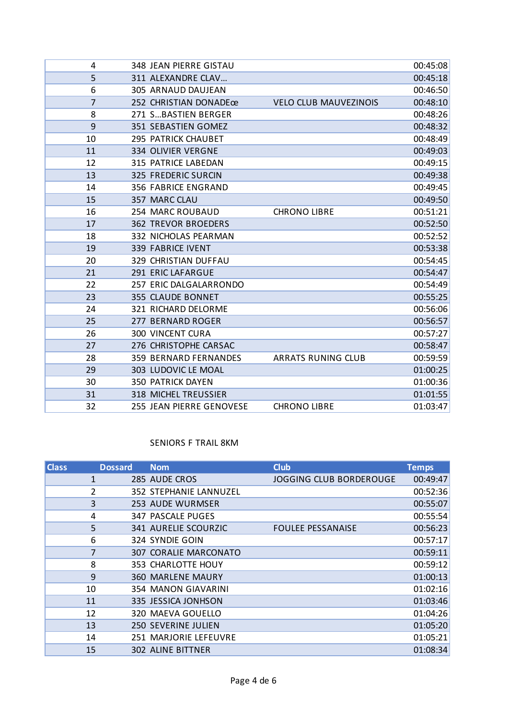| 4  | <b>348 JEAN PIERRE GISTAU</b> |                              | 00:45:08 |
|----|-------------------------------|------------------------------|----------|
| 5  | 311 ALEXANDRE CLAV            |                              | 00:45:18 |
| 6  | 305 ARNAUD DAUJEAN            |                              | 00:46:50 |
| 7  | 252 CHRISTIAN DONADEœ         | <b>VELO CLUB MAUVEZINOIS</b> | 00:48:10 |
| 8  | 271 SBASTIEN BERGER           |                              | 00:48:26 |
| 9  | 351 SEBASTIEN GOMEZ           |                              | 00:48:32 |
| 10 | 295 PATRICK CHAUBET           |                              | 00:48:49 |
| 11 | 334 OLIVIER VERGNE            |                              | 00:49:03 |
| 12 | 315 PATRICE LABEDAN           |                              | 00:49:15 |
| 13 | 325 FREDERIC SURCIN           |                              | 00:49:38 |
| 14 | <b>356 FABRICE ENGRAND</b>    |                              | 00:49:45 |
| 15 | 357 MARC CLAU                 |                              | 00:49:50 |
| 16 | <b>254 MARC ROUBAUD</b>       | <b>CHRONO LIBRE</b>          | 00:51:21 |
| 17 | <b>362 TREVOR BROEDERS</b>    |                              | 00:52:50 |
| 18 | 332 NICHOLAS PEARMAN          |                              | 00:52:52 |
| 19 | <b>339 FABRICE IVENT</b>      |                              | 00:53:38 |
| 20 | 329 CHRISTIAN DUFFAU          |                              | 00:54:45 |
| 21 | 291 ERIC LAFARGUE             |                              | 00:54:47 |
| 22 | 257 ERIC DALGALARRONDO        |                              | 00:54:49 |
| 23 | 355 CLAUDE BONNET             |                              | 00:55:25 |
| 24 | 321 RICHARD DELORME           |                              | 00:56:06 |
| 25 | 277 BERNARD ROGER             |                              | 00:56:57 |
| 26 | <b>300 VINCENT CURA</b>       |                              | 00:57:27 |
| 27 | 276 CHRISTOPHE CARSAC         |                              | 00:58:47 |
| 28 | <b>359 BERNARD FERNANDES</b>  | <b>ARRATS RUNING CLUB</b>    | 00:59:59 |
| 29 | 303 LUDOVIC LE MOAL           |                              | 01:00:25 |
| 30 | <b>350 PATRICK DAYEN</b>      |                              | 01:00:36 |
| 31 | 318 MICHEL TREUSSIER          |                              | 01:01:55 |
| 32 | 255 JEAN PIERRE GENOVESE      | <b>CHRONO LIBRE</b>          | 01:03:47 |

## SENIORS F TRAIL 8KM

| <b>Class</b>   | <b>Dossard</b> | <b>Nom</b>                   | <b>Club</b>                    | <b>Temps</b> |
|----------------|----------------|------------------------------|--------------------------------|--------------|
| 1              |                | 285 AUDE CROS                | <b>JOGGING CLUB BORDEROUGE</b> | 00:49:47     |
| $\overline{2}$ |                | 352 STEPHANIE LANNUZEL       |                                | 00:52:36     |
| 3              |                | 253 AUDE WURMSER             |                                | 00:55:07     |
| 4              |                | 347 PASCALE PUGES            |                                | 00:55:54     |
| 5 <sup>1</sup> |                | 341 AURELIE SCOURZIC         | <b>FOULEE PESSANAISE</b>       | 00:56:23     |
| 6              |                | 324 SYNDIE GOIN              |                                | 00:57:17     |
| $\overline{7}$ |                | <b>307 CORALIE MARCONATO</b> |                                | 00:59:11     |
| 8              |                | 353 CHARLOTTE HOUY           |                                | 00:59:12     |
| 9              |                | <b>360 MARLENE MAURY</b>     |                                | 01:00:13     |
| 10             |                | 354 MANON GIAVARINI          |                                | 01:02:16     |
| 11             |                | 335 JESSICA JONHSON          |                                | 01:03:46     |
| 12             |                | 320 MAEVA GOUELLO            |                                | 01:04:26     |
| 13             |                | <b>250 SEVERINE JULIEN</b>   |                                | 01:05:20     |
| 14             |                | 251 MARJORIE LEFEUVRE        |                                | 01:05:21     |
| 15             |                | <b>302 ALINE BITTNER</b>     |                                | 01:08:34     |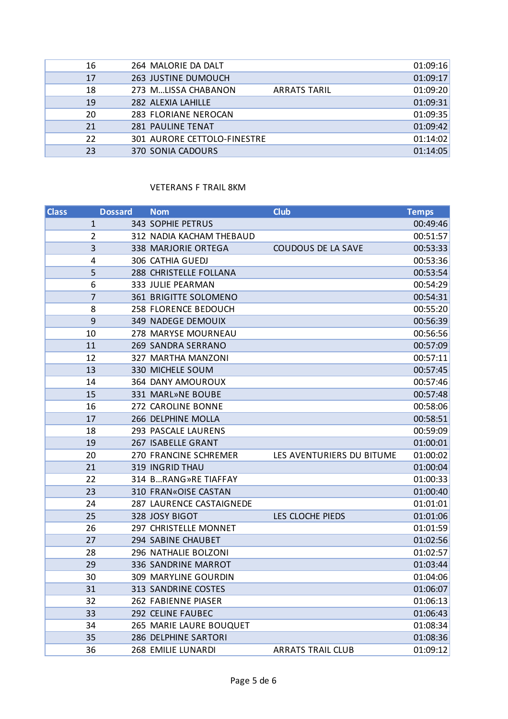| 16 | 264 MALORIE DA DALT                        | 01:09:16 |
|----|--------------------------------------------|----------|
| 17 | 263 JUSTINE DUMOUCH                        | 01:09:17 |
| 18 | 273 MLISSA CHABANON<br><b>ARRATS TARIL</b> | 01:09:20 |
| 19 | 282 ALEXIA LAHILLE                         | 01:09:31 |
| 20 | 283 FLORIANE NEROCAN                       | 01:09:35 |
| 21 | <b>281 PAULINE TENAT</b>                   | 01:09:42 |
| 22 | 301 AURORE CETTOLO-FINESTRE                | 01:14:02 |
| 23 | 370 SONIA CADOURS                          | 01:14:05 |
|    |                                            |          |

#### VETERANS F TRAIL 8KM

| <b>Class</b> | <b>Dossard</b> | <b>Nom</b>                   | <b>Club</b>               | <b>Temps</b> |
|--------------|----------------|------------------------------|---------------------------|--------------|
|              | $\mathbf{1}$   | <b>343 SOPHIE PETRUS</b>     |                           | 00:49:46     |
|              | $\overline{2}$ | 312 NADIA KACHAM THEBAUD     |                           | 00:51:57     |
|              | 3              | 338 MARJORIE ORTEGA          | <b>COUDOUS DE LA SAVE</b> | 00:53:33     |
|              | 4              | 306 CATHIA GUEDJ             |                           | 00:53:36     |
|              | 5              | 288 CHRISTELLE FOLLANA       |                           | 00:53:54     |
|              | 6              | 333 JULIE PEARMAN            |                           | 00:54:29     |
|              | 7              | <b>361 BRIGITTE SOLOMENO</b> |                           | 00:54:31     |
|              | 8              | 258 FLORENCE BEDOUCH         |                           | 00:55:20     |
|              | 9              | <b>349 NADEGE DEMOUIX</b>    |                           | 00:56:39     |
| 10           |                | 278 MARYSE MOURNEAU          |                           | 00:56:56     |
| 11           |                | 269 SANDRA SERRANO           |                           | 00:57:09     |
| 12           |                | 327 MARTHA MANZONI           |                           | 00:57:11     |
| 13           |                | 330 MICHELE SOUM             |                           | 00:57:45     |
| 14           |                | 364 DANY AMOUROUX            |                           | 00:57:46     |
| 15           |                | 331 MARL»NE BOUBE            |                           | 00:57:48     |
| 16           |                | 272 CAROLINE BONNE           |                           | 00:58:06     |
| 17           |                | 266 DELPHINE MOLLA           |                           | 00:58:51     |
| 18           |                | 293 PASCALE LAURENS          |                           | 00:59:09     |
| 19           |                | 267 ISABELLE GRANT           |                           | 01:00:01     |
| 20           |                | 270 FRANCINE SCHREMER        | LES AVENTURIERS DU BITUME | 01:00:02     |
| 21           |                | <b>319 INGRID THAU</b>       |                           | 01:00:04     |
| 22           |                | 314 BRANG»RE TIAFFAY         |                           | 01:00:33     |
| 23           |                | 310 FRAN«OISE CASTAN         |                           | 01:00:40     |
| 24           |                | 287 LAURENCE CASTAIGNEDE     |                           | 01:01:01     |
| 25           |                | 328 JOSY BIGOT               | LES CLOCHE PIEDS          | 01:01:06     |
| 26           |                | 297 CHRISTELLE MONNET        |                           | 01:01:59     |
| 27           |                | 294 SABINE CHAUBET           |                           | 01:02:56     |
| 28           |                | 296 NATHALIE BOLZONI         |                           | 01:02:57     |
| 29           |                | 336 SANDRINE MARROT          |                           | 01:03:44     |
| 30           |                | 309 MARYLINE GOURDIN         |                           | 01:04:06     |
| 31           |                | 313 SANDRINE COSTES          |                           | 01:06:07     |
| 32           |                | 262 FABIENNE PIASER          |                           | 01:06:13     |
| 33           |                | <b>292 CELINE FAUBEC</b>     |                           | 01:06:43     |
| 34           |                | 265 MARIE LAURE BOUQUET      |                           | 01:08:34     |
| 35           |                | 286 DELPHINE SARTORI         |                           | 01:08:36     |
| 36           |                | 268 EMILIE LUNARDI           | <b>ARRATS TRAIL CLUB</b>  | 01:09:12     |